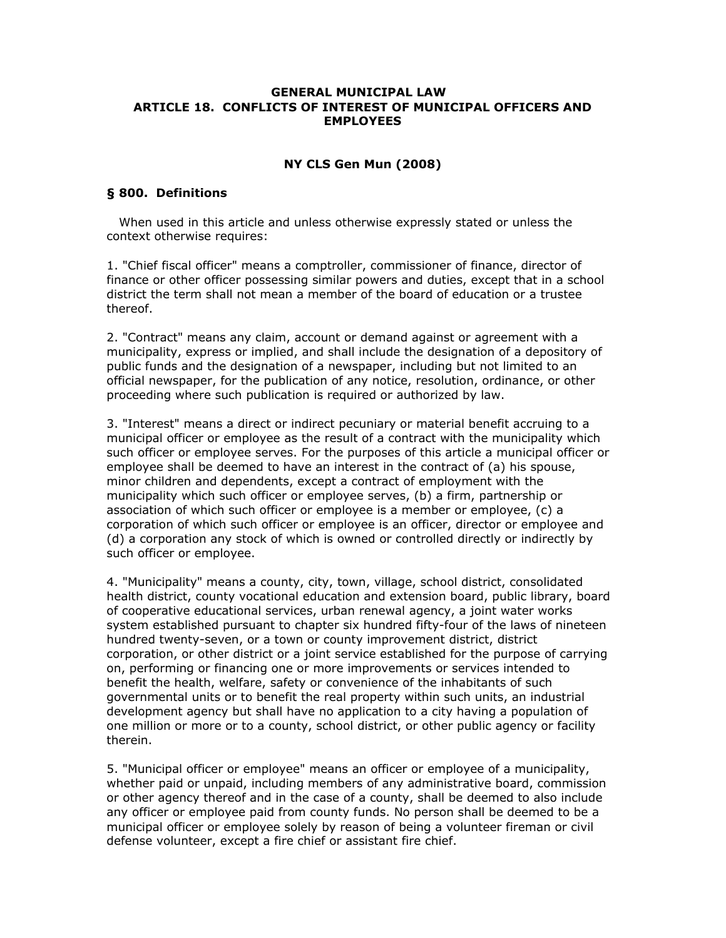### **GENERAL MUNICIPAL LAW ARTICLE 18. CONFLICTS OF INTEREST OF MUNICIPAL OFFICERS AND EMPLOYEES**

# **NY CLS Gen Mun (2008)**

# **§ 800. Definitions**

 When used in this article and unless otherwise expressly stated or unless the context otherwise requires:

1. "Chief fiscal officer" means a comptroller, commissioner of finance, director of finance or other officer possessing similar powers and duties, except that in a school district the term shall not mean a member of the board of education or a trustee thereof.

2. "Contract" means any claim, account or demand against or agreement with a municipality, express or implied, and shall include the designation of a depository of public funds and the designation of a newspaper, including but not limited to an official newspaper, for the publication of any notice, resolution, ordinance, or other proceeding where such publication is required or authorized by law.

3. "Interest" means a direct or indirect pecuniary or material benefit accruing to a municipal officer or employee as the result of a contract with the municipality which such officer or employee serves. For the purposes of this article a municipal officer or employee shall be deemed to have an interest in the contract of (a) his spouse, minor children and dependents, except a contract of employment with the municipality which such officer or employee serves, (b) a firm, partnership or association of which such officer or employee is a member or employee, (c) a corporation of which such officer or employee is an officer, director or employee and (d) a corporation any stock of which is owned or controlled directly or indirectly by such officer or employee.

4. "Municipality" means a county, city, town, village, school district, consolidated health district, county vocational education and extension board, public library, board of cooperative educational services, urban renewal agency, a joint water works system established pursuant to chapter six hundred fifty-four of the laws of nineteen hundred twenty-seven, or a town or county improvement district, district corporation, or other district or a joint service established for the purpose of carrying on, performing or financing one or more improvements or services intended to benefit the health, welfare, safety or convenience of the inhabitants of such governmental units or to benefit the real property within such units, an industrial development agency but shall have no application to a city having a population of one million or more or to a county, school district, or other public agency or facility therein.

5. "Municipal officer or employee" means an officer or employee of a municipality, whether paid or unpaid, including members of any administrative board, commission or other agency thereof and in the case of a county, shall be deemed to also include any officer or employee paid from county funds. No person shall be deemed to be a municipal officer or employee solely by reason of being a volunteer fireman or civil defense volunteer, except a fire chief or assistant fire chief.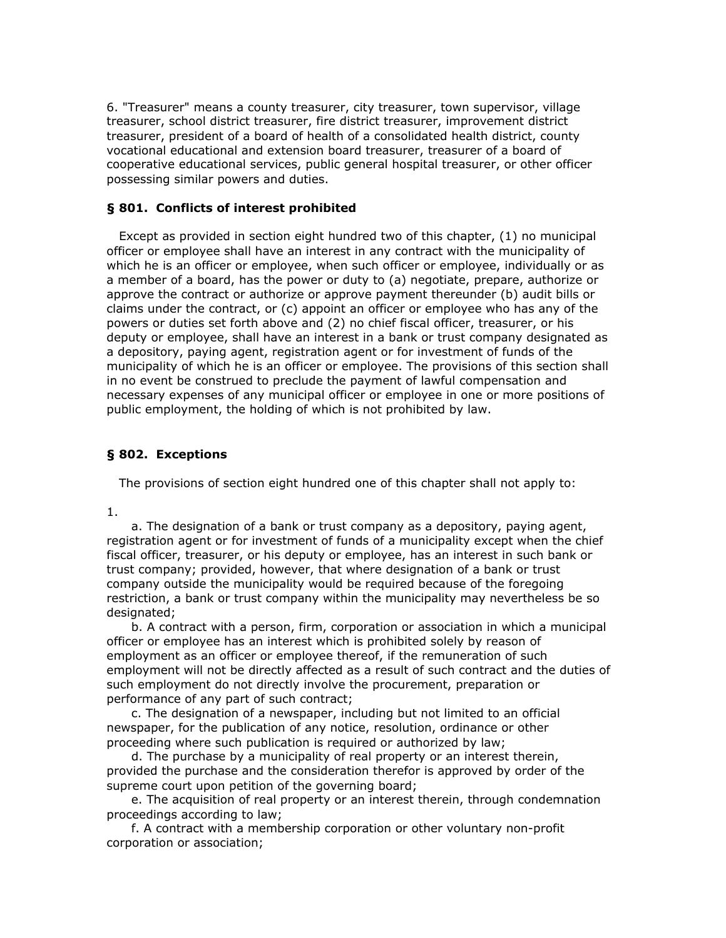6. "Treasurer" means a county treasurer, city treasurer, town supervisor, village treasurer, school district treasurer, fire district treasurer, improvement district treasurer, president of a board of health of a consolidated health district, county vocational educational and extension board treasurer, treasurer of a board of cooperative educational services, public general hospital treasurer, or other officer possessing similar powers and duties.

### **§ 801. Conflicts of interest prohibited**

 Except as provided in section eight hundred two of this chapter, (1) no municipal officer or employee shall have an interest in any contract with the municipality of which he is an officer or employee, when such officer or employee, individually or as a member of a board, has the power or duty to (a) negotiate, prepare, authorize or approve the contract or authorize or approve payment thereunder (b) audit bills or claims under the contract, or (c) appoint an officer or employee who has any of the powers or duties set forth above and (2) no chief fiscal officer, treasurer, or his deputy or employee, shall have an interest in a bank or trust company designated as a depository, paying agent, registration agent or for investment of funds of the municipality of which he is an officer or employee. The provisions of this section shall in no event be construed to preclude the payment of lawful compensation and necessary expenses of any municipal officer or employee in one or more positions of public employment, the holding of which is not prohibited by law.

### **§ 802. Exceptions**

The provisions of section eight hundred one of this chapter shall not apply to:

1.

 a. The designation of a bank or trust company as a depository, paying agent, registration agent or for investment of funds of a municipality except when the chief fiscal officer, treasurer, or his deputy or employee, has an interest in such bank or trust company; provided, however, that where designation of a bank or trust company outside the municipality would be required because of the foregoing restriction, a bank or trust company within the municipality may nevertheless be so designated;

 b. A contract with a person, firm, corporation or association in which a municipal officer or employee has an interest which is prohibited solely by reason of employment as an officer or employee thereof, if the remuneration of such employment will not be directly affected as a result of such contract and the duties of such employment do not directly involve the procurement, preparation or performance of any part of such contract;

 c. The designation of a newspaper, including but not limited to an official newspaper, for the publication of any notice, resolution, ordinance or other proceeding where such publication is required or authorized by law;

 d. The purchase by a municipality of real property or an interest therein, provided the purchase and the consideration therefor is approved by order of the supreme court upon petition of the governing board;

 e. The acquisition of real property or an interest therein, through condemnation proceedings according to law;

 f. A contract with a membership corporation or other voluntary non-profit corporation or association;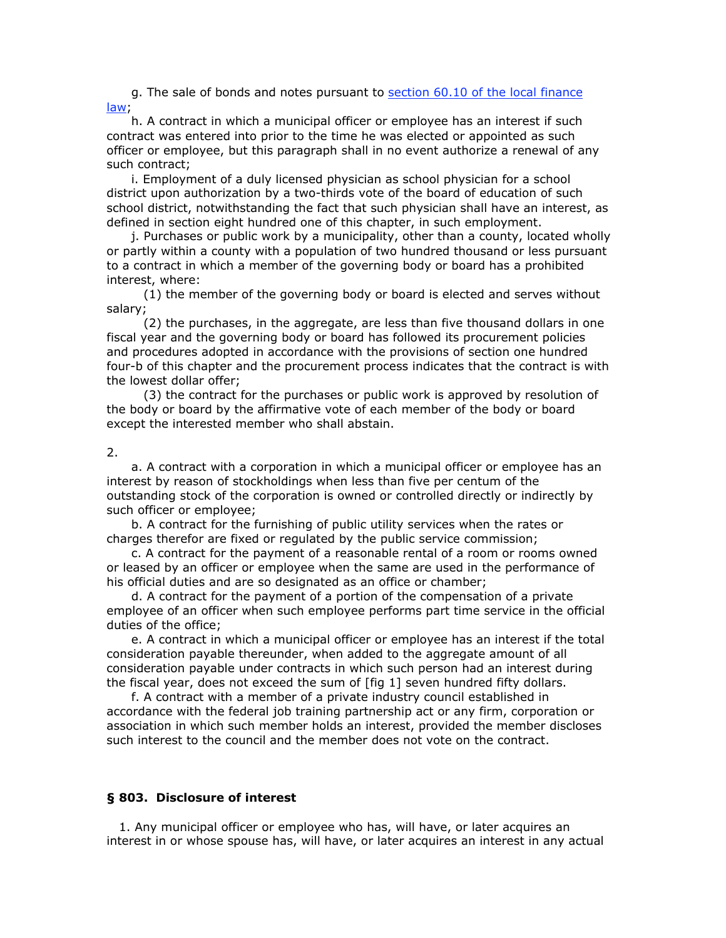g. The sale of bonds and notes pursuant to section 60.10 of the local finance law;

 h. A contract in which a municipal officer or employee has an interest if such contract was entered into prior to the time he was elected or appointed as such officer or employee, but this paragraph shall in no event authorize a renewal of any such contract;

 i. Employment of a duly licensed physician as school physician for a school district upon authorization by a two-thirds vote of the board of education of such school district, notwithstanding the fact that such physician shall have an interest, as defined in section eight hundred one of this chapter, in such employment.

 j. Purchases or public work by a municipality, other than a county, located wholly or partly within a county with a population of two hundred thousand or less pursuant to a contract in which a member of the governing body or board has a prohibited interest, where:

 (1) the member of the governing body or board is elected and serves without salary;

 (2) the purchases, in the aggregate, are less than five thousand dollars in one fiscal year and the governing body or board has followed its procurement policies and procedures adopted in accordance with the provisions of section one hundred four-b of this chapter and the procurement process indicates that the contract is with the lowest dollar offer;

 (3) the contract for the purchases or public work is approved by resolution of the body or board by the affirmative vote of each member of the body or board except the interested member who shall abstain.

#### 2.

 a. A contract with a corporation in which a municipal officer or employee has an interest by reason of stockholdings when less than five per centum of the outstanding stock of the corporation is owned or controlled directly or indirectly by such officer or employee;

 b. A contract for the furnishing of public utility services when the rates or charges therefor are fixed or regulated by the public service commission;

 c. A contract for the payment of a reasonable rental of a room or rooms owned or leased by an officer or employee when the same are used in the performance of his official duties and are so designated as an office or chamber;

 d. A contract for the payment of a portion of the compensation of a private employee of an officer when such employee performs part time service in the official duties of the office;

 e. A contract in which a municipal officer or employee has an interest if the total consideration payable thereunder, when added to the aggregate amount of all consideration payable under contracts in which such person had an interest during the fiscal year, does not exceed the sum of [fig 1] seven hundred fifty dollars.

 f. A contract with a member of a private industry council established in accordance with the federal job training partnership act or any firm, corporation or association in which such member holds an interest, provided the member discloses such interest to the council and the member does not vote on the contract.

### **§ 803. Disclosure of interest**

 1. Any municipal officer or employee who has, will have, or later acquires an interest in or whose spouse has, will have, or later acquires an interest in any actual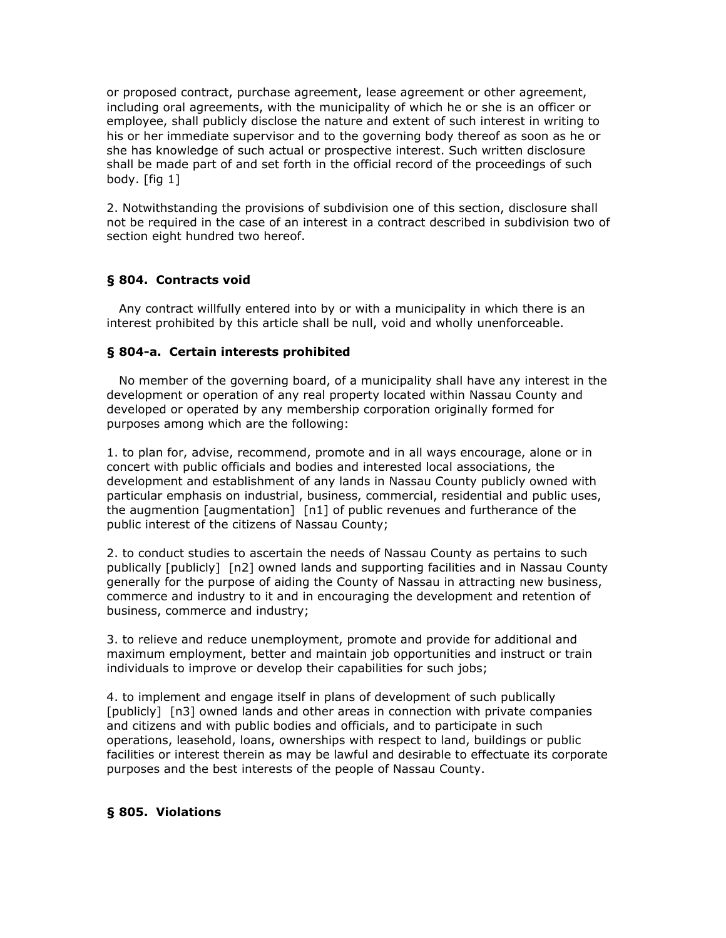or proposed contract, purchase agreement, lease agreement or other agreement, including oral agreements, with the municipality of which he or she is an officer or employee, shall publicly disclose the nature and extent of such interest in writing to his or her immediate supervisor and to the governing body thereof as soon as he or she has knowledge of such actual or prospective interest. Such written disclosure shall be made part of and set forth in the official record of the proceedings of such body. [fig 1]

2. Notwithstanding the provisions of subdivision one of this section, disclosure shall not be required in the case of an interest in a contract described in subdivision two of section eight hundred two hereof.

# **§ 804. Contracts void**

 Any contract willfully entered into by or with a municipality in which there is an interest prohibited by this article shall be null, void and wholly unenforceable.

# **§ 804-a. Certain interests prohibited**

 No member of the governing board, of a municipality shall have any interest in the development or operation of any real property located within Nassau County and developed or operated by any membership corporation originally formed for purposes among which are the following:

1. to plan for, advise, recommend, promote and in all ways encourage, alone or in concert with public officials and bodies and interested local associations, the development and establishment of any lands in Nassau County publicly owned with particular emphasis on industrial, business, commercial, residential and public uses, the augmention [augmentation] [n1] of public revenues and furtherance of the public interest of the citizens of Nassau County;

2. to conduct studies to ascertain the needs of Nassau County as pertains to such publically [publicly] [n2] owned lands and supporting facilities and in Nassau County generally for the purpose of aiding the County of Nassau in attracting new business, commerce and industry to it and in encouraging the development and retention of business, commerce and industry;

3. to relieve and reduce unemployment, promote and provide for additional and maximum employment, better and maintain job opportunities and instruct or train individuals to improve or develop their capabilities for such jobs;

4. to implement and engage itself in plans of development of such publically [publicly] [n3] owned lands and other areas in connection with private companies and citizens and with public bodies and officials, and to participate in such operations, leasehold, loans, ownerships with respect to land, buildings or public facilities or interest therein as may be lawful and desirable to effectuate its corporate purposes and the best interests of the people of Nassau County.

# **§ 805. Violations**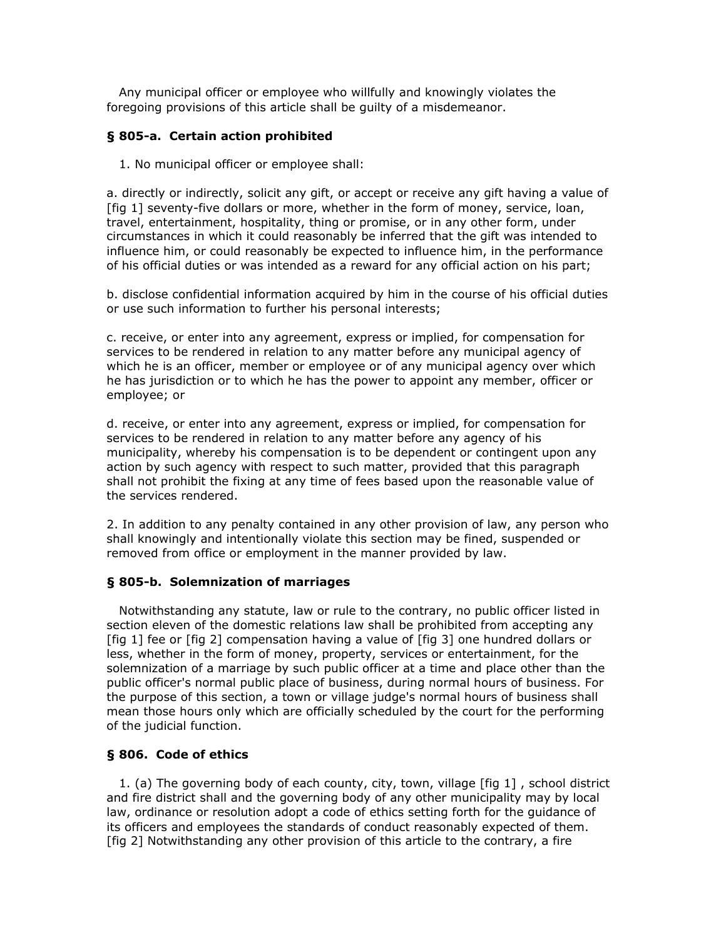Any municipal officer or employee who willfully and knowingly violates the foregoing provisions of this article shall be guilty of a misdemeanor.

# **§ 805-a. Certain action prohibited**

1. No municipal officer or employee shall:

a. directly or indirectly, solicit any gift, or accept or receive any gift having a value of [fig 1] seventy-five dollars or more, whether in the form of money, service, loan, travel, entertainment, hospitality, thing or promise, or in any other form, under circumstances in which it could reasonably be inferred that the gift was intended to influence him, or could reasonably be expected to influence him, in the performance of his official duties or was intended as a reward for any official action on his part;

b. disclose confidential information acquired by him in the course of his official duties or use such information to further his personal interests;

c. receive, or enter into any agreement, express or implied, for compensation for services to be rendered in relation to any matter before any municipal agency of which he is an officer, member or employee or of any municipal agency over which he has jurisdiction or to which he has the power to appoint any member, officer or employee; or

d. receive, or enter into any agreement, express or implied, for compensation for services to be rendered in relation to any matter before any agency of his municipality, whereby his compensation is to be dependent or contingent upon any action by such agency with respect to such matter, provided that this paragraph shall not prohibit the fixing at any time of fees based upon the reasonable value of the services rendered.

2. In addition to any penalty contained in any other provision of law, any person who shall knowingly and intentionally violate this section may be fined, suspended or removed from office or employment in the manner provided by law.

# **§ 805-b. Solemnization of marriages**

 Notwithstanding any statute, law or rule to the contrary, no public officer listed in section eleven of the domestic relations law shall be prohibited from accepting any [fig 1] fee or [fig 2] compensation having a value of [fig 3] one hundred dollars or less, whether in the form of money, property, services or entertainment, for the solemnization of a marriage by such public officer at a time and place other than the public officer's normal public place of business, during normal hours of business. For the purpose of this section, a town or village judge's normal hours of business shall mean those hours only which are officially scheduled by the court for the performing of the judicial function.

# **§ 806. Code of ethics**

 1. (a) The governing body of each county, city, town, village [fig 1] , school district and fire district shall and the governing body of any other municipality may by local law, ordinance or resolution adopt a code of ethics setting forth for the guidance of its officers and employees the standards of conduct reasonably expected of them. [fig 2] Notwithstanding any other provision of this article to the contrary, a fire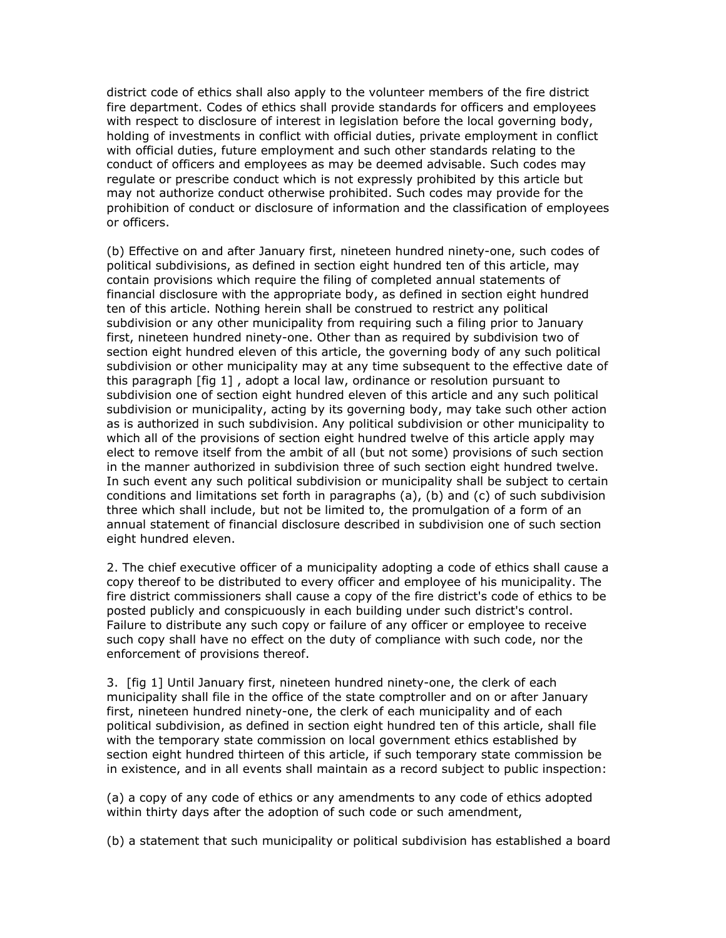district code of ethics shall also apply to the volunteer members of the fire district fire department. Codes of ethics shall provide standards for officers and employees with respect to disclosure of interest in legislation before the local governing body, holding of investments in conflict with official duties, private employment in conflict with official duties, future employment and such other standards relating to the conduct of officers and employees as may be deemed advisable. Such codes may regulate or prescribe conduct which is not expressly prohibited by this article but may not authorize conduct otherwise prohibited. Such codes may provide for the prohibition of conduct or disclosure of information and the classification of employees or officers.

(b) Effective on and after January first, nineteen hundred ninety-one, such codes of political subdivisions, as defined in section eight hundred ten of this article, may contain provisions which require the filing of completed annual statements of financial disclosure with the appropriate body, as defined in section eight hundred ten of this article. Nothing herein shall be construed to restrict any political subdivision or any other municipality from requiring such a filing prior to January first, nineteen hundred ninety-one. Other than as required by subdivision two of section eight hundred eleven of this article, the governing body of any such political subdivision or other municipality may at any time subsequent to the effective date of this paragraph [fig 1] , adopt a local law, ordinance or resolution pursuant to subdivision one of section eight hundred eleven of this article and any such political subdivision or municipality, acting by its governing body, may take such other action as is authorized in such subdivision. Any political subdivision or other municipality to which all of the provisions of section eight hundred twelve of this article apply may elect to remove itself from the ambit of all (but not some) provisions of such section in the manner authorized in subdivision three of such section eight hundred twelve. In such event any such political subdivision or municipality shall be subject to certain conditions and limitations set forth in paragraphs (a), (b) and (c) of such subdivision three which shall include, but not be limited to, the promulgation of a form of an annual statement of financial disclosure described in subdivision one of such section eight hundred eleven.

2. The chief executive officer of a municipality adopting a code of ethics shall cause a copy thereof to be distributed to every officer and employee of his municipality. The fire district commissioners shall cause a copy of the fire district's code of ethics to be posted publicly and conspicuously in each building under such district's control. Failure to distribute any such copy or failure of any officer or employee to receive such copy shall have no effect on the duty of compliance with such code, nor the enforcement of provisions thereof.

3. [fig 1] Until January first, nineteen hundred ninety-one, the clerk of each municipality shall file in the office of the state comptroller and on or after January first, nineteen hundred ninety-one, the clerk of each municipality and of each political subdivision, as defined in section eight hundred ten of this article, shall file with the temporary state commission on local government ethics established by section eight hundred thirteen of this article, if such temporary state commission be in existence, and in all events shall maintain as a record subject to public inspection:

(a) a copy of any code of ethics or any amendments to any code of ethics adopted within thirty days after the adoption of such code or such amendment,

(b) a statement that such municipality or political subdivision has established a board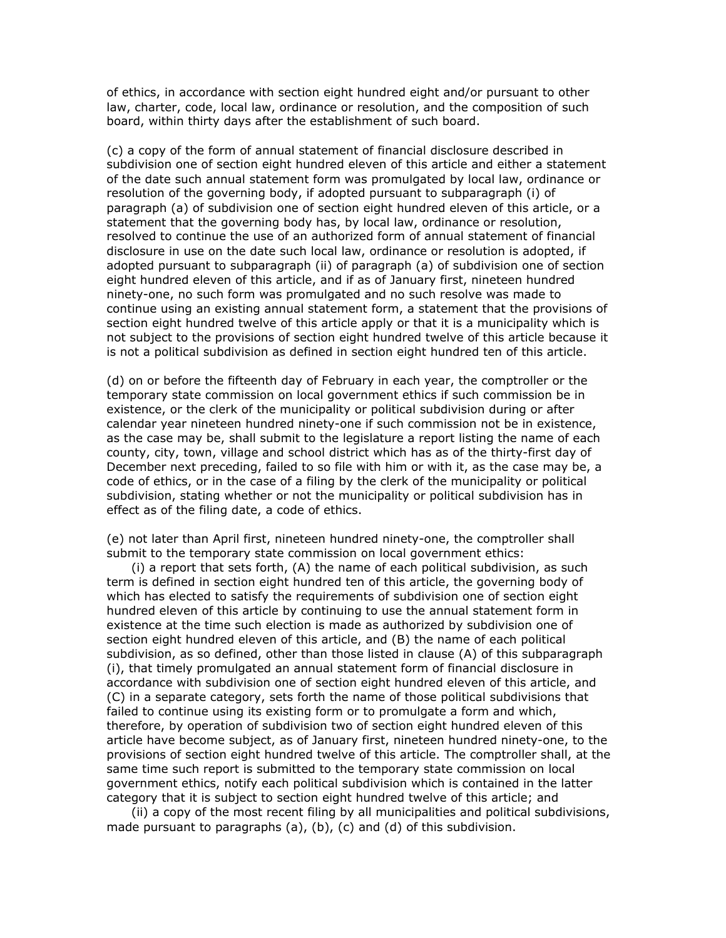of ethics, in accordance with section eight hundred eight and/or pursuant to other law, charter, code, local law, ordinance or resolution, and the composition of such board, within thirty days after the establishment of such board.

(c) a copy of the form of annual statement of financial disclosure described in subdivision one of section eight hundred eleven of this article and either a statement of the date such annual statement form was promulgated by local law, ordinance or resolution of the governing body, if adopted pursuant to subparagraph (i) of paragraph (a) of subdivision one of section eight hundred eleven of this article, or a statement that the governing body has, by local law, ordinance or resolution, resolved to continue the use of an authorized form of annual statement of financial disclosure in use on the date such local law, ordinance or resolution is adopted, if adopted pursuant to subparagraph (ii) of paragraph (a) of subdivision one of section eight hundred eleven of this article, and if as of January first, nineteen hundred ninety-one, no such form was promulgated and no such resolve was made to continue using an existing annual statement form, a statement that the provisions of section eight hundred twelve of this article apply or that it is a municipality which is not subject to the provisions of section eight hundred twelve of this article because it is not a political subdivision as defined in section eight hundred ten of this article.

(d) on or before the fifteenth day of February in each year, the comptroller or the temporary state commission on local government ethics if such commission be in existence, or the clerk of the municipality or political subdivision during or after calendar year nineteen hundred ninety-one if such commission not be in existence, as the case may be, shall submit to the legislature a report listing the name of each county, city, town, village and school district which has as of the thirty-first day of December next preceding, failed to so file with him or with it, as the case may be, a code of ethics, or in the case of a filing by the clerk of the municipality or political subdivision, stating whether or not the municipality or political subdivision has in effect as of the filing date, a code of ethics.

(e) not later than April first, nineteen hundred ninety-one, the comptroller shall submit to the temporary state commission on local government ethics:

 (i) a report that sets forth, (A) the name of each political subdivision, as such term is defined in section eight hundred ten of this article, the governing body of which has elected to satisfy the requirements of subdivision one of section eight hundred eleven of this article by continuing to use the annual statement form in existence at the time such election is made as authorized by subdivision one of section eight hundred eleven of this article, and (B) the name of each political subdivision, as so defined, other than those listed in clause (A) of this subparagraph (i), that timely promulgated an annual statement form of financial disclosure in accordance with subdivision one of section eight hundred eleven of this article, and (C) in a separate category, sets forth the name of those political subdivisions that failed to continue using its existing form or to promulgate a form and which, therefore, by operation of subdivision two of section eight hundred eleven of this article have become subject, as of January first, nineteen hundred ninety-one, to the provisions of section eight hundred twelve of this article. The comptroller shall, at the same time such report is submitted to the temporary state commission on local government ethics, notify each political subdivision which is contained in the latter category that it is subject to section eight hundred twelve of this article; and

 (ii) a copy of the most recent filing by all municipalities and political subdivisions, made pursuant to paragraphs (a), (b), (c) and (d) of this subdivision.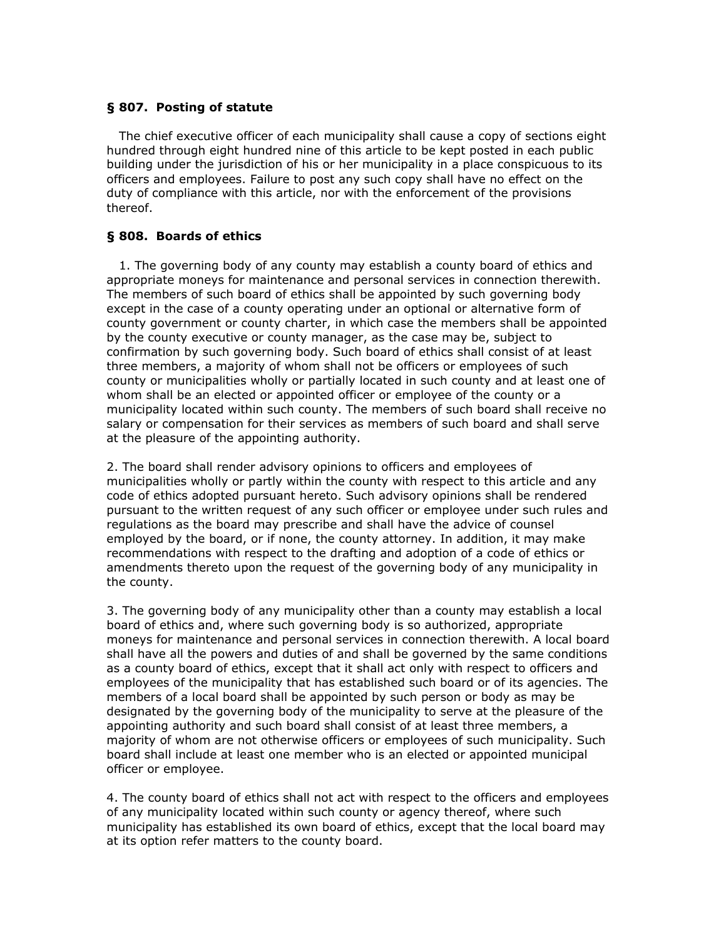# **§ 807. Posting of statute**

 The chief executive officer of each municipality shall cause a copy of sections eight hundred through eight hundred nine of this article to be kept posted in each public building under the jurisdiction of his or her municipality in a place conspicuous to its officers and employees. Failure to post any such copy shall have no effect on the duty of compliance with this article, nor with the enforcement of the provisions thereof.

### **§ 808. Boards of ethics**

 1. The governing body of any county may establish a county board of ethics and appropriate moneys for maintenance and personal services in connection therewith. The members of such board of ethics shall be appointed by such governing body except in the case of a county operating under an optional or alternative form of county government or county charter, in which case the members shall be appointed by the county executive or county manager, as the case may be, subject to confirmation by such governing body. Such board of ethics shall consist of at least three members, a majority of whom shall not be officers or employees of such county or municipalities wholly or partially located in such county and at least one of whom shall be an elected or appointed officer or employee of the county or a municipality located within such county. The members of such board shall receive no salary or compensation for their services as members of such board and shall serve at the pleasure of the appointing authority.

2. The board shall render advisory opinions to officers and employees of municipalities wholly or partly within the county with respect to this article and any code of ethics adopted pursuant hereto. Such advisory opinions shall be rendered pursuant to the written request of any such officer or employee under such rules and regulations as the board may prescribe and shall have the advice of counsel employed by the board, or if none, the county attorney. In addition, it may make recommendations with respect to the drafting and adoption of a code of ethics or amendments thereto upon the request of the governing body of any municipality in the county.

3. The governing body of any municipality other than a county may establish a local board of ethics and, where such governing body is so authorized, appropriate moneys for maintenance and personal services in connection therewith. A local board shall have all the powers and duties of and shall be governed by the same conditions as a county board of ethics, except that it shall act only with respect to officers and employees of the municipality that has established such board or of its agencies. The members of a local board shall be appointed by such person or body as may be designated by the governing body of the municipality to serve at the pleasure of the appointing authority and such board shall consist of at least three members, a majority of whom are not otherwise officers or employees of such municipality. Such board shall include at least one member who is an elected or appointed municipal officer or employee.

4. The county board of ethics shall not act with respect to the officers and employees of any municipality located within such county or agency thereof, where such municipality has established its own board of ethics, except that the local board may at its option refer matters to the county board.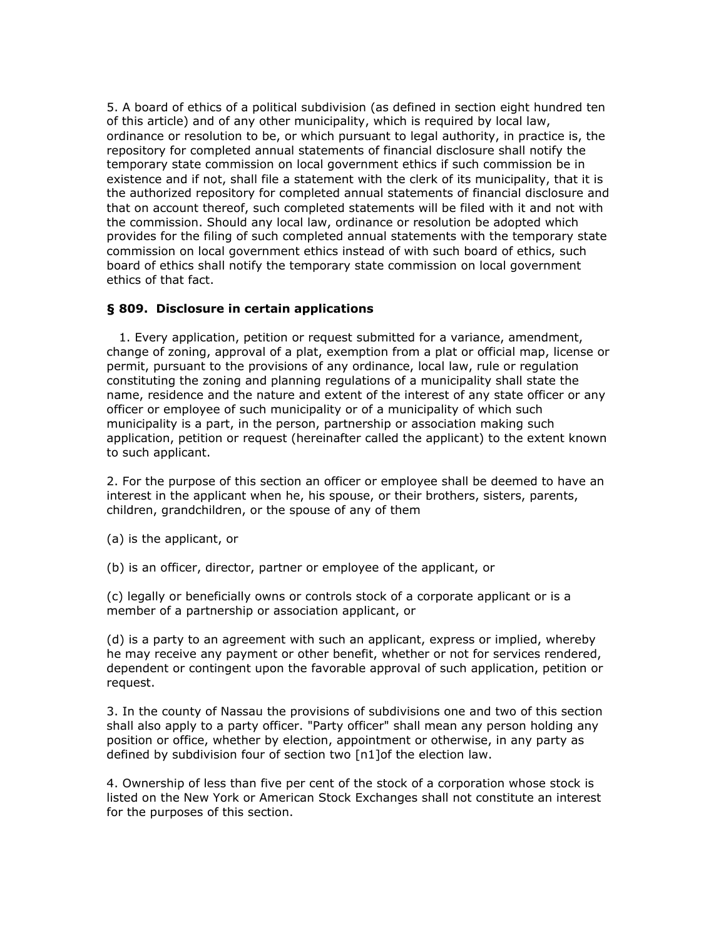5. A board of ethics of a political subdivision (as defined in section eight hundred ten of this article) and of any other municipality, which is required by local law, ordinance or resolution to be, or which pursuant to legal authority, in practice is, the repository for completed annual statements of financial disclosure shall notify the temporary state commission on local government ethics if such commission be in existence and if not, shall file a statement with the clerk of its municipality, that it is the authorized repository for completed annual statements of financial disclosure and that on account thereof, such completed statements will be filed with it and not with the commission. Should any local law, ordinance or resolution be adopted which provides for the filing of such completed annual statements with the temporary state commission on local government ethics instead of with such board of ethics, such board of ethics shall notify the temporary state commission on local government ethics of that fact.

### **§ 809. Disclosure in certain applications**

 1. Every application, petition or request submitted for a variance, amendment, change of zoning, approval of a plat, exemption from a plat or official map, license or permit, pursuant to the provisions of any ordinance, local law, rule or regulation constituting the zoning and planning regulations of a municipality shall state the name, residence and the nature and extent of the interest of any state officer or any officer or employee of such municipality or of a municipality of which such municipality is a part, in the person, partnership or association making such application, petition or request (hereinafter called the applicant) to the extent known to such applicant.

2. For the purpose of this section an officer or employee shall be deemed to have an interest in the applicant when he, his spouse, or their brothers, sisters, parents, children, grandchildren, or the spouse of any of them

(a) is the applicant, or

(b) is an officer, director, partner or employee of the applicant, or

(c) legally or beneficially owns or controls stock of a corporate applicant or is a member of a partnership or association applicant, or

(d) is a party to an agreement with such an applicant, express or implied, whereby he may receive any payment or other benefit, whether or not for services rendered, dependent or contingent upon the favorable approval of such application, petition or request.

3. In the county of Nassau the provisions of subdivisions one and two of this section shall also apply to a party officer. "Party officer" shall mean any person holding any position or office, whether by election, appointment or otherwise, in any party as defined by subdivision four of section two [n1]of the election law.

4. Ownership of less than five per cent of the stock of a corporation whose stock is listed on the New York or American Stock Exchanges shall not constitute an interest for the purposes of this section.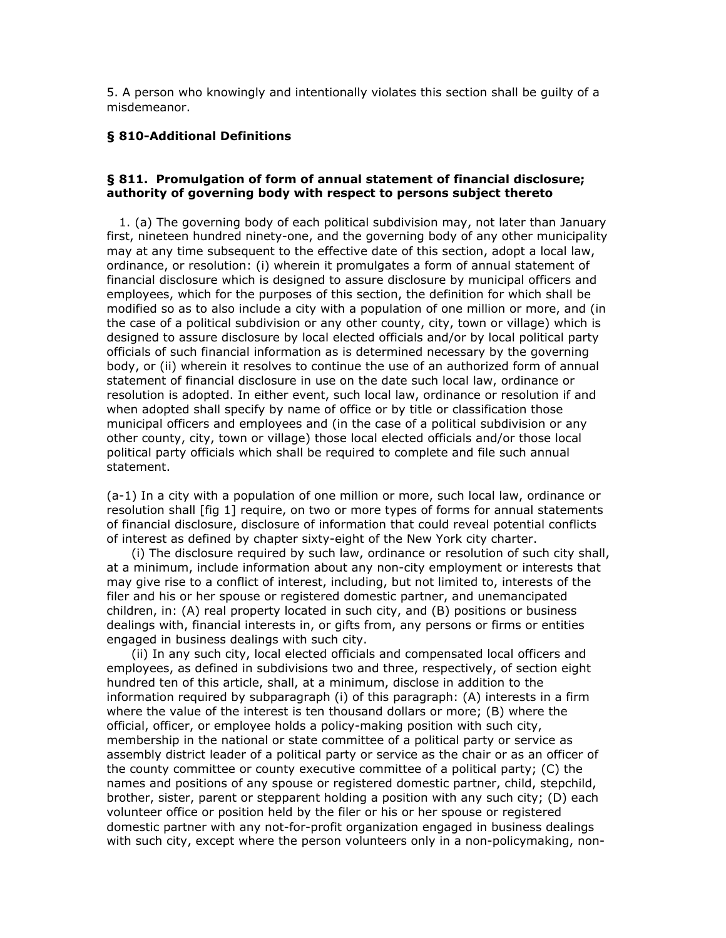5. A person who knowingly and intentionally violates this section shall be guilty of a misdemeanor.

# **§ 810-Additional Definitions**

### **§ 811. Promulgation of form of annual statement of financial disclosure; authority of governing body with respect to persons subject thereto**

 1. (a) The governing body of each political subdivision may, not later than January first, nineteen hundred ninety-one, and the governing body of any other municipality may at any time subsequent to the effective date of this section, adopt a local law, ordinance, or resolution: (i) wherein it promulgates a form of annual statement of financial disclosure which is designed to assure disclosure by municipal officers and employees, which for the purposes of this section, the definition for which shall be modified so as to also include a city with a population of one million or more, and (in the case of a political subdivision or any other county, city, town or village) which is designed to assure disclosure by local elected officials and/or by local political party officials of such financial information as is determined necessary by the governing body, or (ii) wherein it resolves to continue the use of an authorized form of annual statement of financial disclosure in use on the date such local law, ordinance or resolution is adopted. In either event, such local law, ordinance or resolution if and when adopted shall specify by name of office or by title or classification those municipal officers and employees and (in the case of a political subdivision or any other county, city, town or village) those local elected officials and/or those local political party officials which shall be required to complete and file such annual statement.

(a-1) In a city with a population of one million or more, such local law, ordinance or resolution shall [fig 1] require, on two or more types of forms for annual statements of financial disclosure, disclosure of information that could reveal potential conflicts of interest as defined by chapter sixty-eight of the New York city charter.

 (i) The disclosure required by such law, ordinance or resolution of such city shall, at a minimum, include information about any non-city employment or interests that may give rise to a conflict of interest, including, but not limited to, interests of the filer and his or her spouse or registered domestic partner, and unemancipated children, in: (A) real property located in such city, and (B) positions or business dealings with, financial interests in, or gifts from, any persons or firms or entities engaged in business dealings with such city.

 (ii) In any such city, local elected officials and compensated local officers and employees, as defined in subdivisions two and three, respectively, of section eight hundred ten of this article, shall, at a minimum, disclose in addition to the information required by subparagraph (i) of this paragraph: (A) interests in a firm where the value of the interest is ten thousand dollars or more; (B) where the official, officer, or employee holds a policy-making position with such city, membership in the national or state committee of a political party or service as assembly district leader of a political party or service as the chair or as an officer of the county committee or county executive committee of a political party; (C) the names and positions of any spouse or registered domestic partner, child, stepchild, brother, sister, parent or stepparent holding a position with any such city; (D) each volunteer office or position held by the filer or his or her spouse or registered domestic partner with any not-for-profit organization engaged in business dealings with such city, except where the person volunteers only in a non-policymaking, non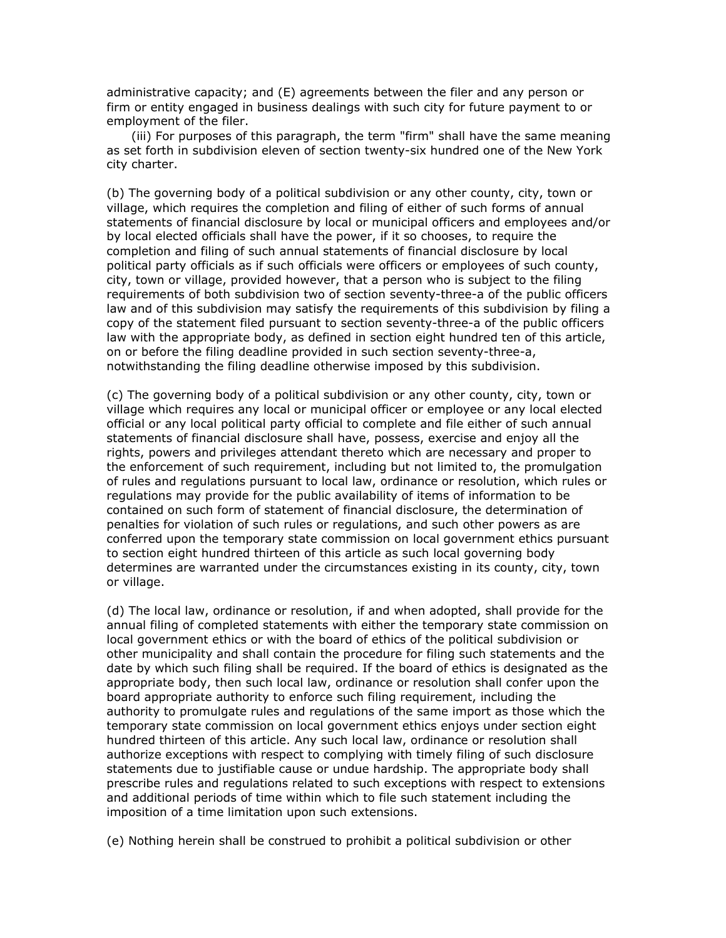administrative capacity; and (E) agreements between the filer and any person or firm or entity engaged in business dealings with such city for future payment to or employment of the filer.

 (iii) For purposes of this paragraph, the term "firm" shall have the same meaning as set forth in subdivision eleven of section twenty-six hundred one of the New York city charter.

(b) The governing body of a political subdivision or any other county, city, town or village, which requires the completion and filing of either of such forms of annual statements of financial disclosure by local or municipal officers and employees and/or by local elected officials shall have the power, if it so chooses, to require the completion and filing of such annual statements of financial disclosure by local political party officials as if such officials were officers or employees of such county, city, town or village, provided however, that a person who is subject to the filing requirements of both subdivision two of section seventy-three-a of the public officers law and of this subdivision may satisfy the requirements of this subdivision by filing a copy of the statement filed pursuant to section seventy-three-a of the public officers law with the appropriate body, as defined in section eight hundred ten of this article, on or before the filing deadline provided in such section seventy-three-a, notwithstanding the filing deadline otherwise imposed by this subdivision.

(c) The governing body of a political subdivision or any other county, city, town or village which requires any local or municipal officer or employee or any local elected official or any local political party official to complete and file either of such annual statements of financial disclosure shall have, possess, exercise and enjoy all the rights, powers and privileges attendant thereto which are necessary and proper to the enforcement of such requirement, including but not limited to, the promulgation of rules and regulations pursuant to local law, ordinance or resolution, which rules or regulations may provide for the public availability of items of information to be contained on such form of statement of financial disclosure, the determination of penalties for violation of such rules or regulations, and such other powers as are conferred upon the temporary state commission on local government ethics pursuant to section eight hundred thirteen of this article as such local governing body determines are warranted under the circumstances existing in its county, city, town or village.

(d) The local law, ordinance or resolution, if and when adopted, shall provide for the annual filing of completed statements with either the temporary state commission on local government ethics or with the board of ethics of the political subdivision or other municipality and shall contain the procedure for filing such statements and the date by which such filing shall be required. If the board of ethics is designated as the appropriate body, then such local law, ordinance or resolution shall confer upon the board appropriate authority to enforce such filing requirement, including the authority to promulgate rules and regulations of the same import as those which the temporary state commission on local government ethics enjoys under section eight hundred thirteen of this article. Any such local law, ordinance or resolution shall authorize exceptions with respect to complying with timely filing of such disclosure statements due to justifiable cause or undue hardship. The appropriate body shall prescribe rules and regulations related to such exceptions with respect to extensions and additional periods of time within which to file such statement including the imposition of a time limitation upon such extensions.

(e) Nothing herein shall be construed to prohibit a political subdivision or other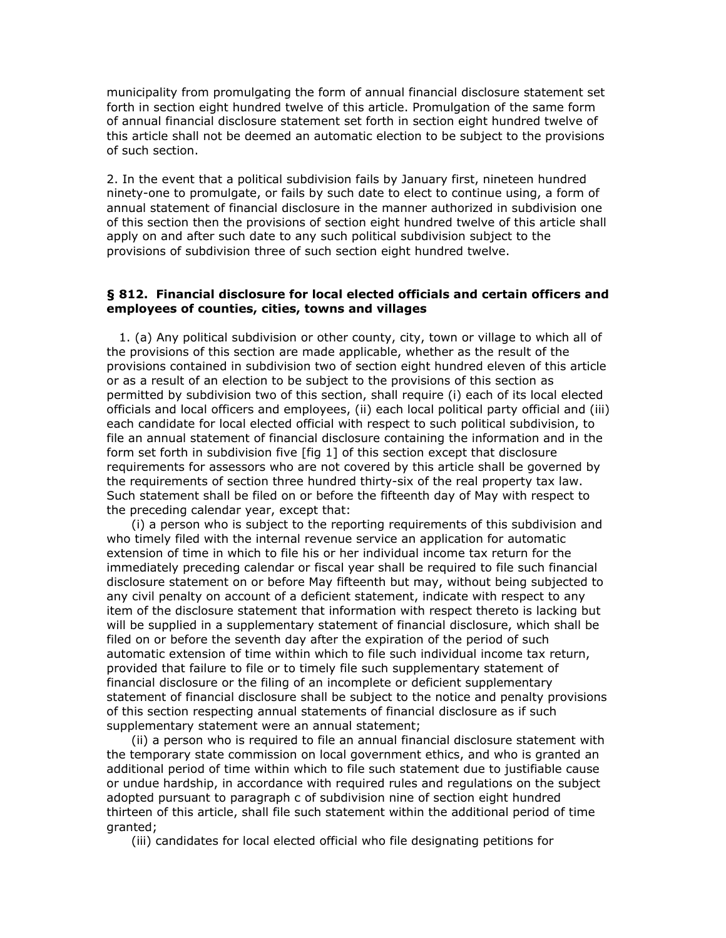municipality from promulgating the form of annual financial disclosure statement set forth in section eight hundred twelve of this article. Promulgation of the same form of annual financial disclosure statement set forth in section eight hundred twelve of this article shall not be deemed an automatic election to be subject to the provisions of such section.

2. In the event that a political subdivision fails by January first, nineteen hundred ninety-one to promulgate, or fails by such date to elect to continue using, a form of annual statement of financial disclosure in the manner authorized in subdivision one of this section then the provisions of section eight hundred twelve of this article shall apply on and after such date to any such political subdivision subject to the provisions of subdivision three of such section eight hundred twelve.

### **§ 812. Financial disclosure for local elected officials and certain officers and employees of counties, cities, towns and villages**

 1. (a) Any political subdivision or other county, city, town or village to which all of the provisions of this section are made applicable, whether as the result of the provisions contained in subdivision two of section eight hundred eleven of this article or as a result of an election to be subject to the provisions of this section as permitted by subdivision two of this section, shall require (i) each of its local elected officials and local officers and employees, (ii) each local political party official and (iii) each candidate for local elected official with respect to such political subdivision, to file an annual statement of financial disclosure containing the information and in the form set forth in subdivision five [fig 1] of this section except that disclosure requirements for assessors who are not covered by this article shall be governed by the requirements of section three hundred thirty-six of the real property tax law. Such statement shall be filed on or before the fifteenth day of May with respect to the preceding calendar year, except that:

 (i) a person who is subject to the reporting requirements of this subdivision and who timely filed with the internal revenue service an application for automatic extension of time in which to file his or her individual income tax return for the immediately preceding calendar or fiscal year shall be required to file such financial disclosure statement on or before May fifteenth but may, without being subjected to any civil penalty on account of a deficient statement, indicate with respect to any item of the disclosure statement that information with respect thereto is lacking but will be supplied in a supplementary statement of financial disclosure, which shall be filed on or before the seventh day after the expiration of the period of such automatic extension of time within which to file such individual income tax return, provided that failure to file or to timely file such supplementary statement of financial disclosure or the filing of an incomplete or deficient supplementary statement of financial disclosure shall be subject to the notice and penalty provisions of this section respecting annual statements of financial disclosure as if such supplementary statement were an annual statement;

 (ii) a person who is required to file an annual financial disclosure statement with the temporary state commission on local government ethics, and who is granted an additional period of time within which to file such statement due to justifiable cause or undue hardship, in accordance with required rules and regulations on the subject adopted pursuant to paragraph c of subdivision nine of section eight hundred thirteen of this article, shall file such statement within the additional period of time granted;

(iii) candidates for local elected official who file designating petitions for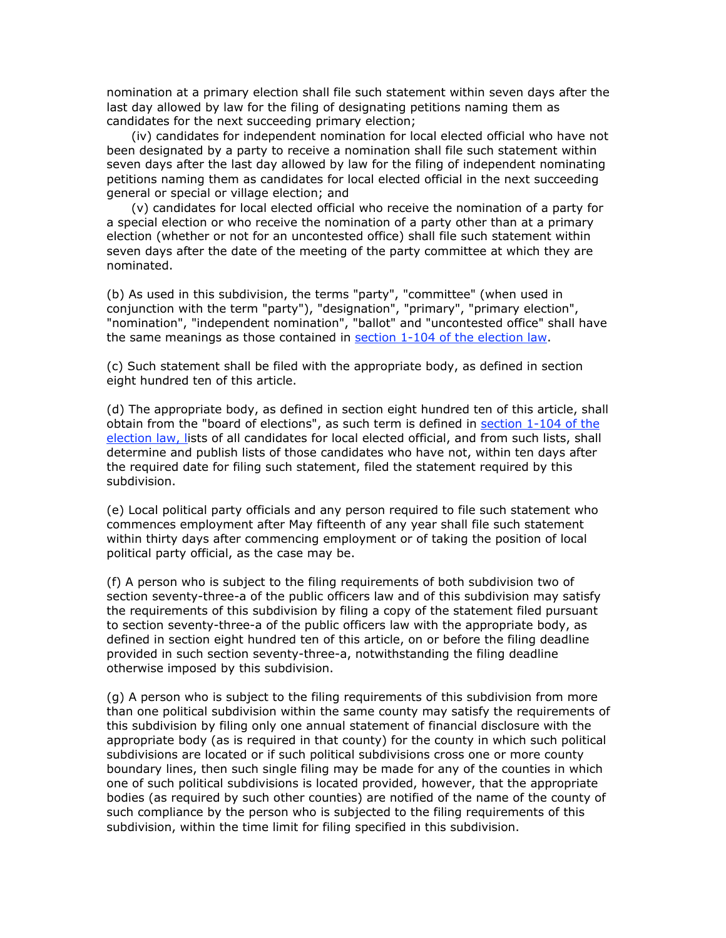nomination at a primary election shall file such statement within seven days after the last day allowed by law for the filing of designating petitions naming them as candidates for the next succeeding primary election;

 (iv) candidates for independent nomination for local elected official who have not been designated by a party to receive a nomination shall file such statement within seven days after the last day allowed by law for the filing of independent nominating petitions naming them as candidates for local elected official in the next succeeding general or special or village election; and

 (v) candidates for local elected official who receive the nomination of a party for a special election or who receive the nomination of a party other than at a primary election (whether or not for an uncontested office) shall file such statement within seven days after the date of the meeting of the party committee at which they are nominated.

(b) As used in this subdivision, the terms "party", "committee" (when used in conjunction with the term "party"), "designation", "primary", "primary election", "nomination", "independent nomination", "ballot" and "uncontested office" shall have the same meanings as those contained in section 1-104 of the election law.

(c) Such statement shall be filed with the appropriate body, as defined in section eight hundred ten of this article.

(d) The appropriate body, as defined in section eight hundred ten of this article, shall obtain from the "board of elections", as such term is defined in section 1-104 of the election law, lists of all candidates for local elected official, and from such lists, shall determine and publish lists of those candidates who have not, within ten days after the required date for filing such statement, filed the statement required by this subdivision.

(e) Local political party officials and any person required to file such statement who commences employment after May fifteenth of any year shall file such statement within thirty days after commencing employment or of taking the position of local political party official, as the case may be.

(f) A person who is subject to the filing requirements of both subdivision two of section seventy-three-a of the public officers law and of this subdivision may satisfy the requirements of this subdivision by filing a copy of the statement filed pursuant to section seventy-three-a of the public officers law with the appropriate body, as defined in section eight hundred ten of this article, on or before the filing deadline provided in such section seventy-three-a, notwithstanding the filing deadline otherwise imposed by this subdivision.

(g) A person who is subject to the filing requirements of this subdivision from more than one political subdivision within the same county may satisfy the requirements of this subdivision by filing only one annual statement of financial disclosure with the appropriate body (as is required in that county) for the county in which such political subdivisions are located or if such political subdivisions cross one or more county boundary lines, then such single filing may be made for any of the counties in which one of such political subdivisions is located provided, however, that the appropriate bodies (as required by such other counties) are notified of the name of the county of such compliance by the person who is subjected to the filing requirements of this subdivision, within the time limit for filing specified in this subdivision.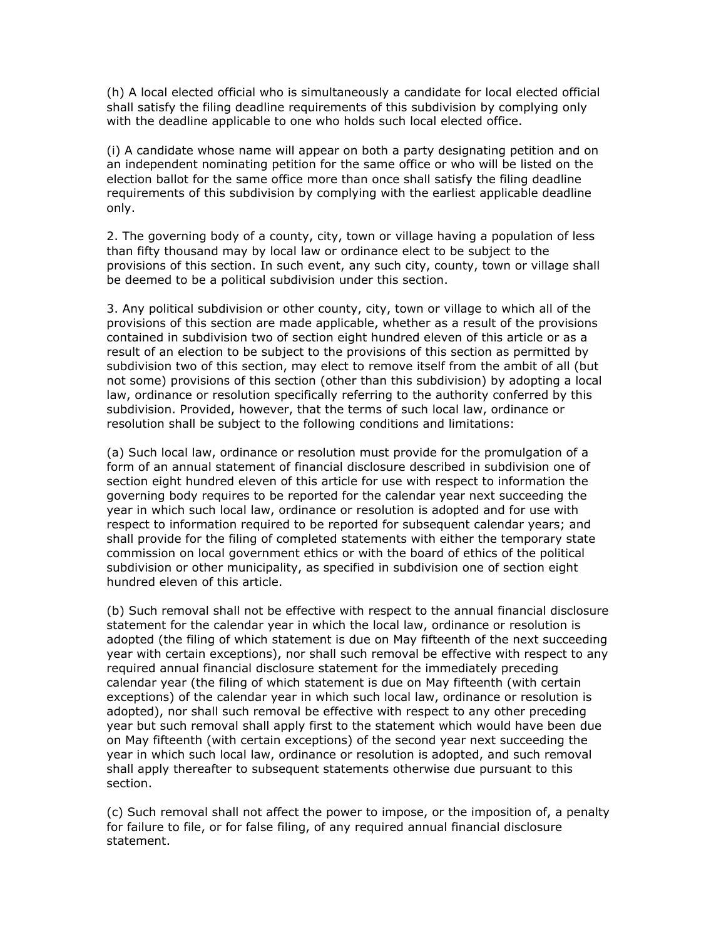(h) A local elected official who is simultaneously a candidate for local elected official shall satisfy the filing deadline requirements of this subdivision by complying only with the deadline applicable to one who holds such local elected office.

(i) A candidate whose name will appear on both a party designating petition and on an independent nominating petition for the same office or who will be listed on the election ballot for the same office more than once shall satisfy the filing deadline requirements of this subdivision by complying with the earliest applicable deadline only.

2. The governing body of a county, city, town or village having a population of less than fifty thousand may by local law or ordinance elect to be subject to the provisions of this section. In such event, any such city, county, town or village shall be deemed to be a political subdivision under this section.

3. Any political subdivision or other county, city, town or village to which all of the provisions of this section are made applicable, whether as a result of the provisions contained in subdivision two of section eight hundred eleven of this article or as a result of an election to be subject to the provisions of this section as permitted by subdivision two of this section, may elect to remove itself from the ambit of all (but not some) provisions of this section (other than this subdivision) by adopting a local law, ordinance or resolution specifically referring to the authority conferred by this subdivision. Provided, however, that the terms of such local law, ordinance or resolution shall be subject to the following conditions and limitations:

(a) Such local law, ordinance or resolution must provide for the promulgation of a form of an annual statement of financial disclosure described in subdivision one of section eight hundred eleven of this article for use with respect to information the governing body requires to be reported for the calendar year next succeeding the year in which such local law, ordinance or resolution is adopted and for use with respect to information required to be reported for subsequent calendar years; and shall provide for the filing of completed statements with either the temporary state commission on local government ethics or with the board of ethics of the political subdivision or other municipality, as specified in subdivision one of section eight hundred eleven of this article.

(b) Such removal shall not be effective with respect to the annual financial disclosure statement for the calendar year in which the local law, ordinance or resolution is adopted (the filing of which statement is due on May fifteenth of the next succeeding year with certain exceptions), nor shall such removal be effective with respect to any required annual financial disclosure statement for the immediately preceding calendar year (the filing of which statement is due on May fifteenth (with certain exceptions) of the calendar year in which such local law, ordinance or resolution is adopted), nor shall such removal be effective with respect to any other preceding year but such removal shall apply first to the statement which would have been due on May fifteenth (with certain exceptions) of the second year next succeeding the year in which such local law, ordinance or resolution is adopted, and such removal shall apply thereafter to subsequent statements otherwise due pursuant to this section.

(c) Such removal shall not affect the power to impose, or the imposition of, a penalty for failure to file, or for false filing, of any required annual financial disclosure statement.